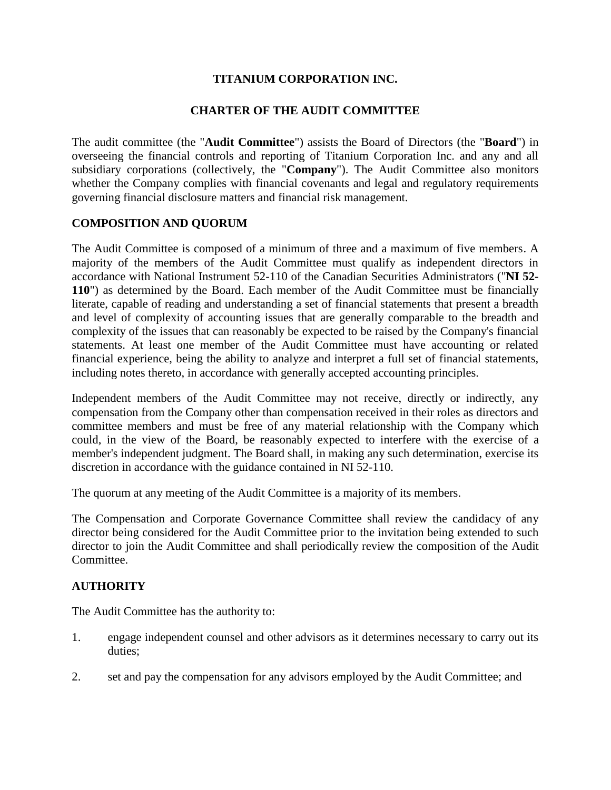# **TITANIUM CORPORATION INC.**

# **CHARTER OF THE AUDIT COMMITTEE**

The audit committee (the "**Audit Committee**") assists the Board of Directors (the "**Board**") in overseeing the financial controls and reporting of Titanium Corporation Inc. and any and all subsidiary corporations (collectively, the "**Company**"). The Audit Committee also monitors whether the Company complies with financial covenants and legal and regulatory requirements governing financial disclosure matters and financial risk management.

# **COMPOSITION AND QUORUM**

The Audit Committee is composed of a minimum of three and a maximum of five members. A majority of the members of the Audit Committee must qualify as independent directors in accordance with National Instrument 52-110 of the Canadian Securities Administrators ("**NI 52- 110**") as determined by the Board. Each member of the Audit Committee must be financially literate, capable of reading and understanding a set of financial statements that present a breadth and level of complexity of accounting issues that are generally comparable to the breadth and complexity of the issues that can reasonably be expected to be raised by the Company's financial statements. At least one member of the Audit Committee must have accounting or related financial experience, being the ability to analyze and interpret a full set of financial statements, including notes thereto, in accordance with generally accepted accounting principles.

Independent members of the Audit Committee may not receive, directly or indirectly, any compensation from the Company other than compensation received in their roles as directors and committee members and must be free of any material relationship with the Company which could, in the view of the Board, be reasonably expected to interfere with the exercise of a member's independent judgment. The Board shall, in making any such determination, exercise its discretion in accordance with the guidance contained in NI 52-110.

The quorum at any meeting of the Audit Committee is a majority of its members.

The Compensation and Corporate Governance Committee shall review the candidacy of any director being considered for the Audit Committee prior to the invitation being extended to such director to join the Audit Committee and shall periodically review the composition of the Audit Committee.

## **AUTHORITY**

The Audit Committee has the authority to:

- 1. engage independent counsel and other advisors as it determines necessary to carry out its duties;
- 2. set and pay the compensation for any advisors employed by the Audit Committee; and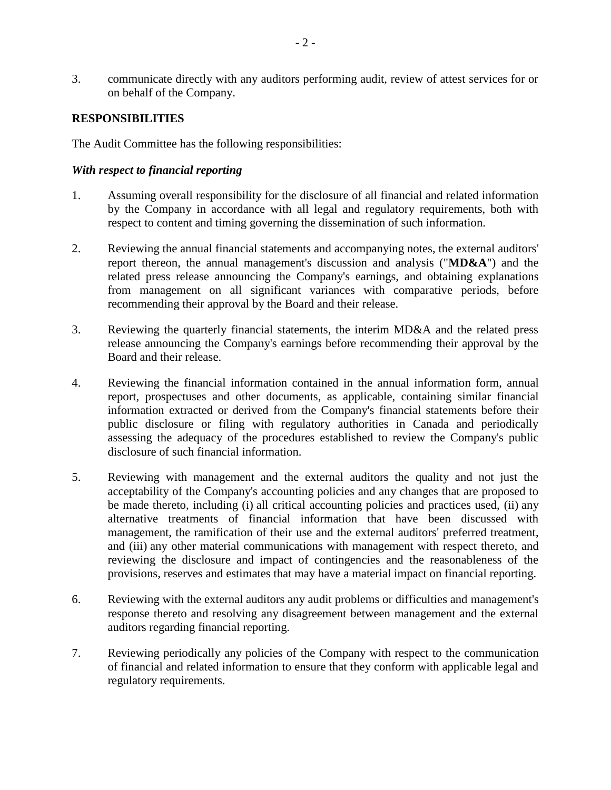3. communicate directly with any auditors performing audit, review of attest services for or on behalf of the Company.

# **RESPONSIBILITIES**

The Audit Committee has the following responsibilities:

## *With respect to financial reporting*

- 1. Assuming overall responsibility for the disclosure of all financial and related information by the Company in accordance with all legal and regulatory requirements, both with respect to content and timing governing the dissemination of such information.
- 2. Reviewing the annual financial statements and accompanying notes, the external auditors' report thereon, the annual management's discussion and analysis ("**MD&A**") and the related press release announcing the Company's earnings, and obtaining explanations from management on all significant variances with comparative periods, before recommending their approval by the Board and their release.
- 3. Reviewing the quarterly financial statements, the interim MD&A and the related press release announcing the Company's earnings before recommending their approval by the Board and their release.
- 4. Reviewing the financial information contained in the annual information form, annual report, prospectuses and other documents, as applicable, containing similar financial information extracted or derived from the Company's financial statements before their public disclosure or filing with regulatory authorities in Canada and periodically assessing the adequacy of the procedures established to review the Company's public disclosure of such financial information.
- 5. Reviewing with management and the external auditors the quality and not just the acceptability of the Company's accounting policies and any changes that are proposed to be made thereto, including (i) all critical accounting policies and practices used, (ii) any alternative treatments of financial information that have been discussed with management, the ramification of their use and the external auditors' preferred treatment, and (iii) any other material communications with management with respect thereto, and reviewing the disclosure and impact of contingencies and the reasonableness of the provisions, reserves and estimates that may have a material impact on financial reporting.
- 6. Reviewing with the external auditors any audit problems or difficulties and management's response thereto and resolving any disagreement between management and the external auditors regarding financial reporting.
- 7. Reviewing periodically any policies of the Company with respect to the communication of financial and related information to ensure that they conform with applicable legal and regulatory requirements.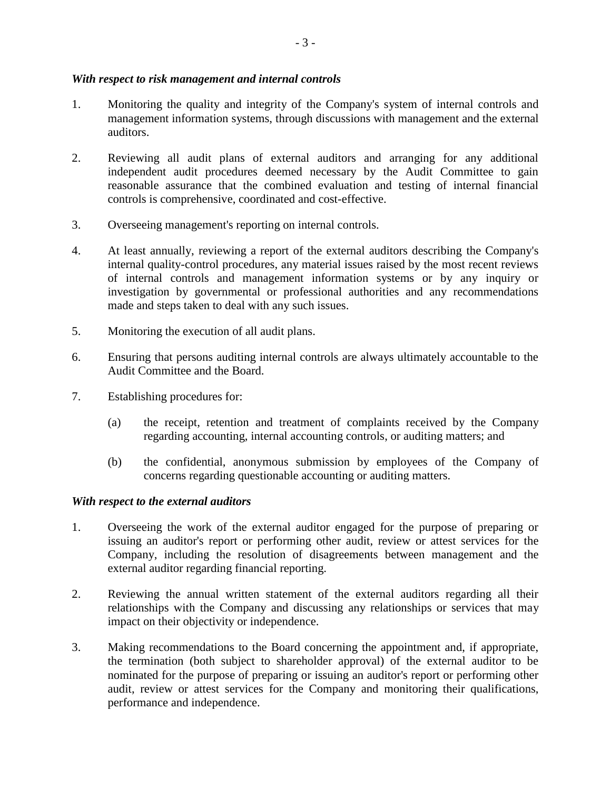## *With respect to risk management and internal controls*

- 1. Monitoring the quality and integrity of the Company's system of internal controls and management information systems, through discussions with management and the external auditors.
- 2. Reviewing all audit plans of external auditors and arranging for any additional independent audit procedures deemed necessary by the Audit Committee to gain reasonable assurance that the combined evaluation and testing of internal financial controls is comprehensive, coordinated and cost-effective.
- 3. Overseeing management's reporting on internal controls.
- 4. At least annually, reviewing a report of the external auditors describing the Company's internal quality-control procedures, any material issues raised by the most recent reviews of internal controls and management information systems or by any inquiry or investigation by governmental or professional authorities and any recommendations made and steps taken to deal with any such issues.
- 5. Monitoring the execution of all audit plans.
- 6. Ensuring that persons auditing internal controls are always ultimately accountable to the Audit Committee and the Board.
- 7. Establishing procedures for:
	- (a) the receipt, retention and treatment of complaints received by the Company regarding accounting, internal accounting controls, or auditing matters; and
	- (b) the confidential, anonymous submission by employees of the Company of concerns regarding questionable accounting or auditing matters.

## *With respect to the external auditors*

- 1. Overseeing the work of the external auditor engaged for the purpose of preparing or issuing an auditor's report or performing other audit, review or attest services for the Company, including the resolution of disagreements between management and the external auditor regarding financial reporting.
- 2. Reviewing the annual written statement of the external auditors regarding all their relationships with the Company and discussing any relationships or services that may impact on their objectivity or independence.
- 3. Making recommendations to the Board concerning the appointment and, if appropriate, the termination (both subject to shareholder approval) of the external auditor to be nominated for the purpose of preparing or issuing an auditor's report or performing other audit, review or attest services for the Company and monitoring their qualifications, performance and independence.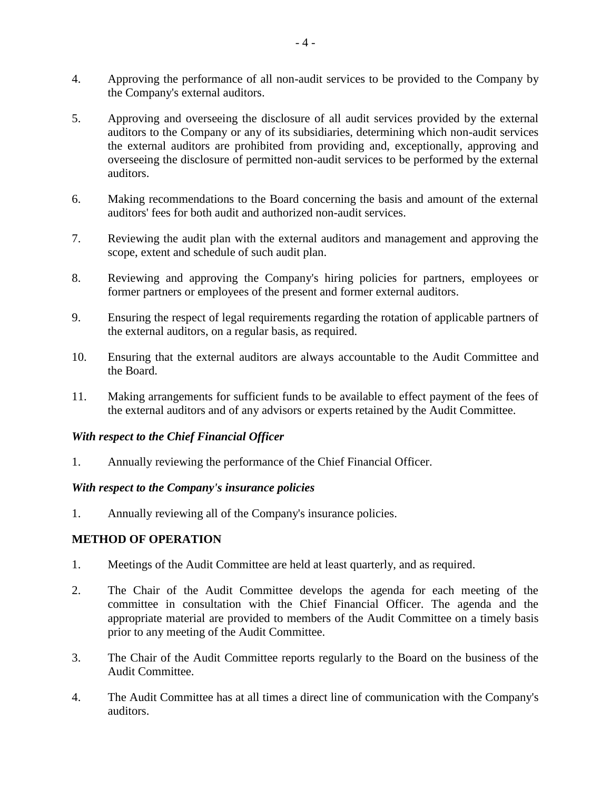- 4. Approving the performance of all non-audit services to be provided to the Company by the Company's external auditors.
- 5. Approving and overseeing the disclosure of all audit services provided by the external auditors to the Company or any of its subsidiaries, determining which non-audit services the external auditors are prohibited from providing and, exceptionally, approving and overseeing the disclosure of permitted non-audit services to be performed by the external auditors.
- 6. Making recommendations to the Board concerning the basis and amount of the external auditors' fees for both audit and authorized non-audit services.
- 7. Reviewing the audit plan with the external auditors and management and approving the scope, extent and schedule of such audit plan.
- 8. Reviewing and approving the Company's hiring policies for partners, employees or former partners or employees of the present and former external auditors.
- 9. Ensuring the respect of legal requirements regarding the rotation of applicable partners of the external auditors, on a regular basis, as required.
- 10. Ensuring that the external auditors are always accountable to the Audit Committee and the Board.
- 11. Making arrangements for sufficient funds to be available to effect payment of the fees of the external auditors and of any advisors or experts retained by the Audit Committee.

## *With respect to the Chief Financial Officer*

1. Annually reviewing the performance of the Chief Financial Officer.

## *With respect to the Company's insurance policies*

1. Annually reviewing all of the Company's insurance policies.

## **METHOD OF OPERATION**

- 1. Meetings of the Audit Committee are held at least quarterly, and as required.
- 2. The Chair of the Audit Committee develops the agenda for each meeting of the committee in consultation with the Chief Financial Officer. The agenda and the appropriate material are provided to members of the Audit Committee on a timely basis prior to any meeting of the Audit Committee.
- 3. The Chair of the Audit Committee reports regularly to the Board on the business of the Audit Committee.
- 4. The Audit Committee has at all times a direct line of communication with the Company's auditors.